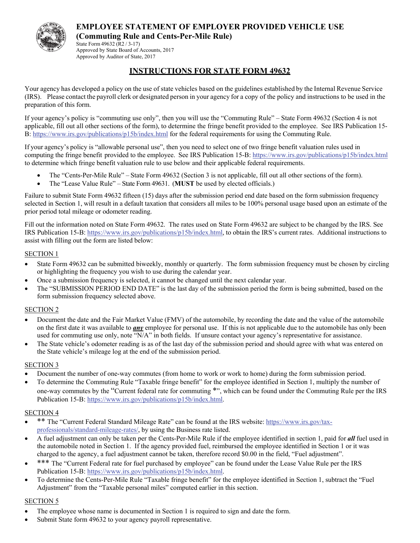

State Form 49632 (R2 / 3-17) Approved by State Board of Accounts, 2017 Approved by Auditor of State, 2017

## **INSTRUCTIONS FOR STATE FORM 49632**

Your agency has developed a policy on the use of state vehicles based on the guidelines established by the Internal Revenue Service (IRS). Please contact the payroll clerk or designated person in your agency for a copy of the policy and instructions to be used in the preparation of this form.

If your agency's policy is "commuting use only", then you will use the "Commuting Rule" – State Form 49632 (Section 4 is not applicable, fill out all other sections of the form), to determine the fringe benefit provided to the employee. See IRS Publication 15- B: https://www.irs.gov/publications/p15b/index.html for the federal requirements for using the Commuting Rule.

If your agency's policy is "allowable personal use", then you need to select one of two fringe benefit valuation rules used in computing the fringe benefit provided to the employee. See IRS Publication 15-B: https://www.irs.gov/publications/p15b/index.html to determine which fringe benefit valuation rule to use below and their applicable federal requirements.

- The "Cents-Per-Mile Rule" State Form 49632 (Section 3 is not applicable, fill out all other sections of the form).
- The "Lease Value Rule" State Form 49631. (**MUST** be used by elected officials.)

Failure to submit State Form 49632 fifteen (15) days after the submission period end date based on the form submission frequency selected in Section 1, will result in a default taxation that considers all miles to be 100% personal usage based upon an estimate of the prior period total mileage or odometer reading.

Fill out the information noted on State Form 49632. The rates used on State Form 49632 are subject to be changed by the IRS. See IRS Publication 15-B: https://www.irs.gov/publications/p15b/index.html, to obtain the IRS's current rates. Additional instructions to assist with filling out the form are listed below:

#### SECTION 1

- State Form 49632 can be submitted biweekly, monthly or quarterly. The form submission frequency must be chosen by circling or highlighting the frequency you wish to use during the calendar year.
- Once a submission frequency is selected, it cannot be changed until the next calendar year.
- The "SUBMISSION PERIOD END DATE" is the last day of the submission period the form is being submitted, based on the form submission frequency selected above.

#### SECTION 2

- Document the date and the Fair Market Value (FMV) of the automobile, by recording the date and the value of the automobile on the first date it was available to *any* employee for personal use. If this is not applicable due to the automobile has only been used for commuting use only, note "N/A" in both fields. If unsure contact your agency's representative for assistance.
- The State vehicle's odometer reading is as of the last day of the submission period and should agree with what was entered on the State vehicle's mileage log at the end of the submission period.

#### SECTION 3

- Document the number of one-way commutes (from home to work or work to home) during the form submission period.
- To determine the Commuting Rule "Taxable fringe benefit" for the employee identified in Section 1, multiply the number of one-way commutes by the "Current federal rate for commuting \*", which can be found under the Commuting Rule per the IRS Publication 15-B: https://www.irs.gov/publications/p15b/index.html.

## SECTION 4

- \*\* The "Current Federal Standard Mileage Rate" can be found at the IRS website: https://www.irs.gov/taxprofessionals/standard-mileage-rates/, by using the Business rate listed.
- A fuel adjustment can only be taken per the Cents-Per-Mile Rule if the employee identified in section 1, paid for *all* fuel used in the automobile noted in Section 1. If the agency provided fuel, reimbursed the employee identified in Section 1 or it was charged to the agency, a fuel adjustment cannot be taken, therefore record \$0.00 in the field, "Fuel adjustment".
- \*\*\* The "Current Federal rate for fuel purchased by employee" can be found under the Lease Value Rule per the IRS Publication 15-B: https://www.irs.gov/publications/p15b/index.html.
- To determine the Cents-Per-Mile Rule "Taxable fringe benefit" for the employee identified in Section 1, subtract the "Fuel Adjustment" from the "Taxable personal miles" computed earlier in this section.

## SECTION 5

- The employee whose name is documented in Section 1 is required to sign and date the form.
- Submit State form 49632 to your agency payroll representative.